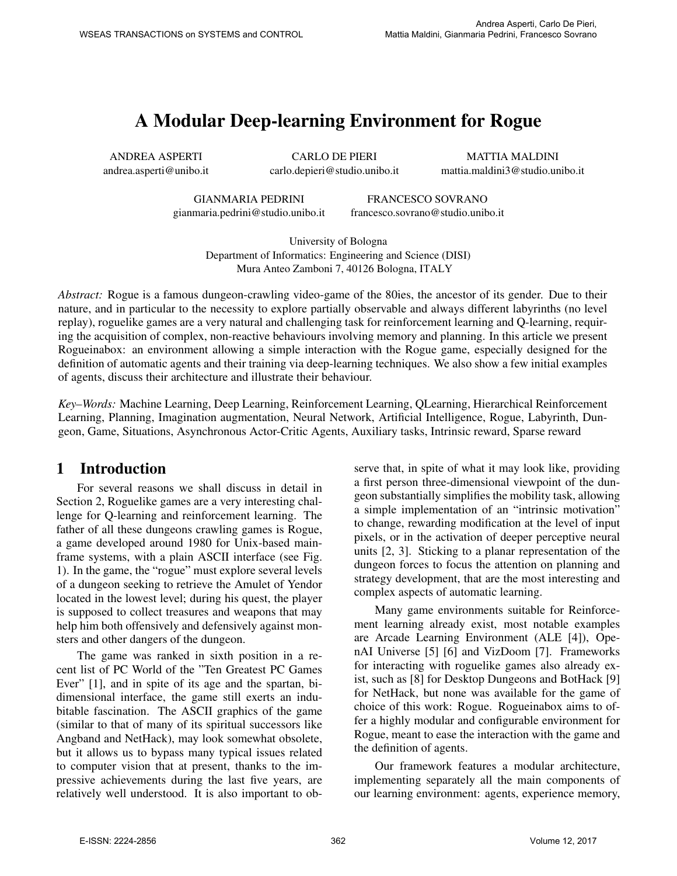# A Modular Deep-learning Environment for Rogue

ANDREA ASPERTI andrea.asperti@unibo.it

CARLO DE PIERI carlo.depieri@studio.unibo.it

MATTIA MALDINI mattia.maldini3@studio.unibo.it

GIANMARIA PEDRINI gianmaria.pedrini@studio.unibo.it

FRANCESCO SOVRANO francesco.sovrano@studio.unibo.it

University of Bologna Department of Informatics: Engineering and Science (DISI) Mura Anteo Zamboni 7, 40126 Bologna, ITALY

*Abstract:* Rogue is a famous dungeon-crawling video-game of the 80ies, the ancestor of its gender. Due to their nature, and in particular to the necessity to explore partially observable and always different labyrinths (no level replay), roguelike games are a very natural and challenging task for reinforcement learning and Q-learning, requiring the acquisition of complex, non-reactive behaviours involving memory and planning. In this article we present Rogueinabox: an environment allowing a simple interaction with the Rogue game, especially designed for the definition of automatic agents and their training via deep-learning techniques. We also show a few initial examples of agents, discuss their architecture and illustrate their behaviour.

*Key–Words:* Machine Learning, Deep Learning, Reinforcement Learning, QLearning, Hierarchical Reinforcement Learning, Planning, Imagination augmentation, Neural Network, Artificial Intelligence, Rogue, Labyrinth, Dungeon, Game, Situations, Asynchronous Actor-Critic Agents, Auxiliary tasks, Intrinsic reward, Sparse reward

# 1 Introduction

For several reasons we shall discuss in detail in Section 2, Roguelike games are a very interesting challenge for Q-learning and reinforcement learning. The father of all these dungeons crawling games is Rogue, a game developed around 1980 for Unix-based mainframe systems, with a plain ASCII interface (see Fig. 1). In the game, the "rogue" must explore several levels of a dungeon seeking to retrieve the Amulet of Yendor located in the lowest level; during his quest, the player is supposed to collect treasures and weapons that may help him both offensively and defensively against monsters and other dangers of the dungeon.

The game was ranked in sixth position in a recent list of PC World of the "Ten Greatest PC Games Ever" [1], and in spite of its age and the spartan, bidimensional interface, the game still exerts an indubitable fascination. The ASCII graphics of the game (similar to that of many of its spiritual successors like Angband and NetHack), may look somewhat obsolete, but it allows us to bypass many typical issues related to computer vision that at present, thanks to the impressive achievements during the last five years, are relatively well understood. It is also important to observe that, in spite of what it may look like, providing a first person three-dimensional viewpoint of the dungeon substantially simplifies the mobility task, allowing a simple implementation of an "intrinsic motivation" to change, rewarding modification at the level of input pixels, or in the activation of deeper perceptive neural units [2, 3]. Sticking to a planar representation of the dungeon forces to focus the attention on planning and strategy development, that are the most interesting and complex aspects of automatic learning.

Many game environments suitable for Reinforcement learning already exist, most notable examples are Arcade Learning Environment (ALE [4]), OpenAI Universe [5] [6] and VizDoom [7]. Frameworks for interacting with roguelike games also already exist, such as [8] for Desktop Dungeons and BotHack [9] for NetHack, but none was available for the game of choice of this work: Rogue. Rogueinabox aims to offer a highly modular and configurable environment for Rogue, meant to ease the interaction with the game and the definition of agents.

Our framework features a modular architecture, implementing separately all the main components of our learning environment: agents, experience memory,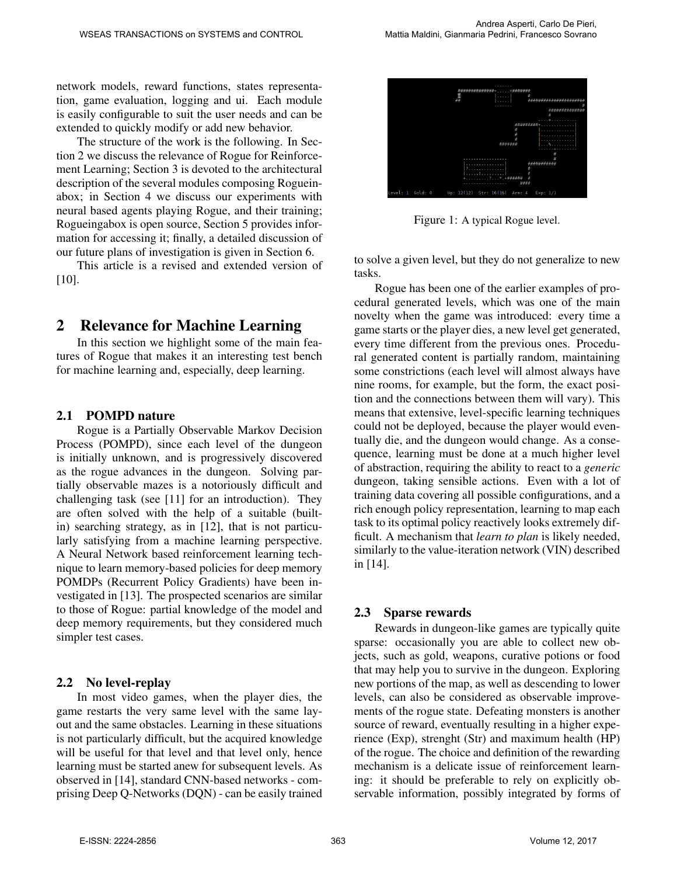network models, reward functions, states representation, game evaluation, logging and ui. Each module is easily configurable to suit the user needs and can be extended to quickly modify or add new behavior.

The structure of the work is the following. In Section 2 we discuss the relevance of Rogue for Reinforcement Learning; Section 3 is devoted to the architectural description of the several modules composing Rogueinabox; in Section 4 we discuss our experiments with neural based agents playing Rogue, and their training; Rogueingabox is open source, Section 5 provides information for accessing it; finally, a detailed discussion of our future plans of investigation is given in Section 6.

This article is a revised and extended version of [10].

### 2 Relevance for Machine Learning

In this section we highlight some of the main features of Rogue that makes it an interesting test bench for machine learning and, especially, deep learning.

#### 2.1 POMPD nature

Rogue is a Partially Observable Markov Decision Process (POMPD), since each level of the dungeon is initially unknown, and is progressively discovered as the rogue advances in the dungeon. Solving partially observable mazes is a notoriously difficult and challenging task (see [11] for an introduction). They are often solved with the help of a suitable (builtin) searching strategy, as in [12], that is not particularly satisfying from a machine learning perspective. A Neural Network based reinforcement learning technique to learn memory-based policies for deep memory POMDPs (Recurrent Policy Gradients) have been investigated in [13]. The prospected scenarios are similar to those of Rogue: partial knowledge of the model and deep memory requirements, but they considered much simpler test cases.

#### 2.2 No level-replay

In most video games, when the player dies, the game restarts the very same level with the same layout and the same obstacles. Learning in these situations is not particularly difficult, but the acquired knowledge will be useful for that level and that level only, hence learning must be started anew for subsequent levels. As observed in [14], standard CNN-based networks - comprising Deep Q-Networks (DQN) - can be easily trained



Figure 1: A typical Rogue level.

to solve a given level, but they do not generalize to new tasks.

Rogue has been one of the earlier examples of procedural generated levels, which was one of the main novelty when the game was introduced: every time a game starts or the player dies, a new level get generated, every time different from the previous ones. Procedural generated content is partially random, maintaining some constrictions (each level will almost always have nine rooms, for example, but the form, the exact position and the connections between them will vary). This means that extensive, level-specific learning techniques could not be deployed, because the player would eventually die, and the dungeon would change. As a consequence, learning must be done at a much higher level of abstraction, requiring the ability to react to a *generic* dungeon, taking sensible actions. Even with a lot of training data covering all possible configurations, and a rich enough policy representation, learning to map each task to its optimal policy reactively looks extremely difficult. A mechanism that *learn to plan* is likely needed, similarly to the value-iteration network (VIN) described in [14].

#### 2.3 Sparse rewards

Rewards in dungeon-like games are typically quite sparse: occasionally you are able to collect new objects, such as gold, weapons, curative potions or food that may help you to survive in the dungeon. Exploring new portions of the map, as well as descending to lower levels, can also be considered as observable improvements of the rogue state. Defeating monsters is another source of reward, eventually resulting in a higher experience (Exp), strenght (Str) and maximum health (HP) of the rogue. The choice and definition of the rewarding mechanism is a delicate issue of reinforcement learning: it should be preferable to rely on explicitly observable information, possibly integrated by forms of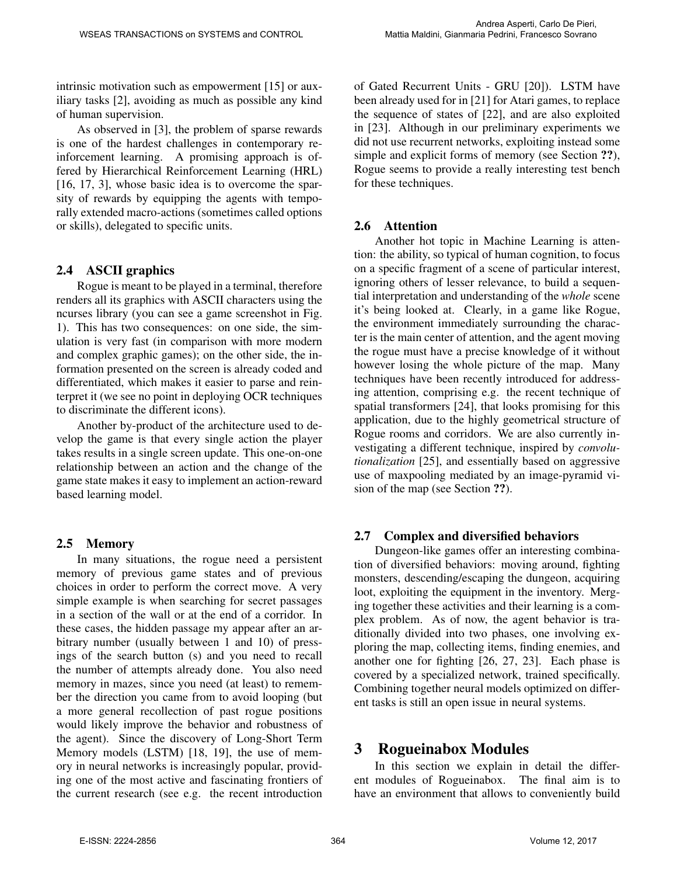intrinsic motivation such as empowerment [15] or auxiliary tasks [2], avoiding as much as possible any kind of human supervision.

As observed in [3], the problem of sparse rewards is one of the hardest challenges in contemporary reinforcement learning. A promising approach is offered by Hierarchical Reinforcement Learning (HRL) [16, 17, 3], whose basic idea is to overcome the sparsity of rewards by equipping the agents with temporally extended macro-actions (sometimes called options or skills), delegated to specific units.

### 2.4 ASCII graphics

Rogue is meant to be played in a terminal, therefore renders all its graphics with ASCII characters using the ncurses library (you can see a game screenshot in Fig. 1). This has two consequences: on one side, the simulation is very fast (in comparison with more modern and complex graphic games); on the other side, the information presented on the screen is already coded and differentiated, which makes it easier to parse and reinterpret it (we see no point in deploying OCR techniques to discriminate the different icons).

Another by-product of the architecture used to develop the game is that every single action the player takes results in a single screen update. This one-on-one relationship between an action and the change of the game state makes it easy to implement an action-reward based learning model.

### 2.5 Memory

In many situations, the rogue need a persistent memory of previous game states and of previous choices in order to perform the correct move. A very simple example is when searching for secret passages in a section of the wall or at the end of a corridor. In these cases, the hidden passage my appear after an arbitrary number (usually between 1 and 10) of pressings of the search button (s) and you need to recall the number of attempts already done. You also need memory in mazes, since you need (at least) to remember the direction you came from to avoid looping (but a more general recollection of past rogue positions would likely improve the behavior and robustness of the agent). Since the discovery of Long-Short Term Memory models (LSTM) [18, 19], the use of memory in neural networks is increasingly popular, providing one of the most active and fascinating frontiers of the current research (see e.g. the recent introduction of Gated Recurrent Units - GRU [20]). LSTM have been already used for in [21] for Atari games, to replace the sequence of states of [22], and are also exploited in [23]. Although in our preliminary experiments we did not use recurrent networks, exploiting instead some simple and explicit forms of memory (see Section ??), Rogue seems to provide a really interesting test bench for these techniques.

### 2.6 Attention

Another hot topic in Machine Learning is attention: the ability, so typical of human cognition, to focus on a specific fragment of a scene of particular interest, ignoring others of lesser relevance, to build a sequential interpretation and understanding of the *whole* scene it's being looked at. Clearly, in a game like Rogue, the environment immediately surrounding the character is the main center of attention, and the agent moving the rogue must have a precise knowledge of it without however losing the whole picture of the map. Many techniques have been recently introduced for addressing attention, comprising e.g. the recent technique of spatial transformers [24], that looks promising for this application, due to the highly geometrical structure of Rogue rooms and corridors. We are also currently investigating a different technique, inspired by *convolutionalization* [25], and essentially based on aggressive use of maxpooling mediated by an image-pyramid vision of the map (see Section ??).

### 2.7 Complex and diversified behaviors

Dungeon-like games offer an interesting combination of diversified behaviors: moving around, fighting monsters, descending/escaping the dungeon, acquiring loot, exploiting the equipment in the inventory. Merging together these activities and their learning is a complex problem. As of now, the agent behavior is traditionally divided into two phases, one involving exploring the map, collecting items, finding enemies, and another one for fighting [26, 27, 23]. Each phase is covered by a specialized network, trained specifically. Combining together neural models optimized on different tasks is still an open issue in neural systems.

### 3 Rogueinabox Modules

In this section we explain in detail the different modules of Rogueinabox. The final aim is to have an environment that allows to conveniently build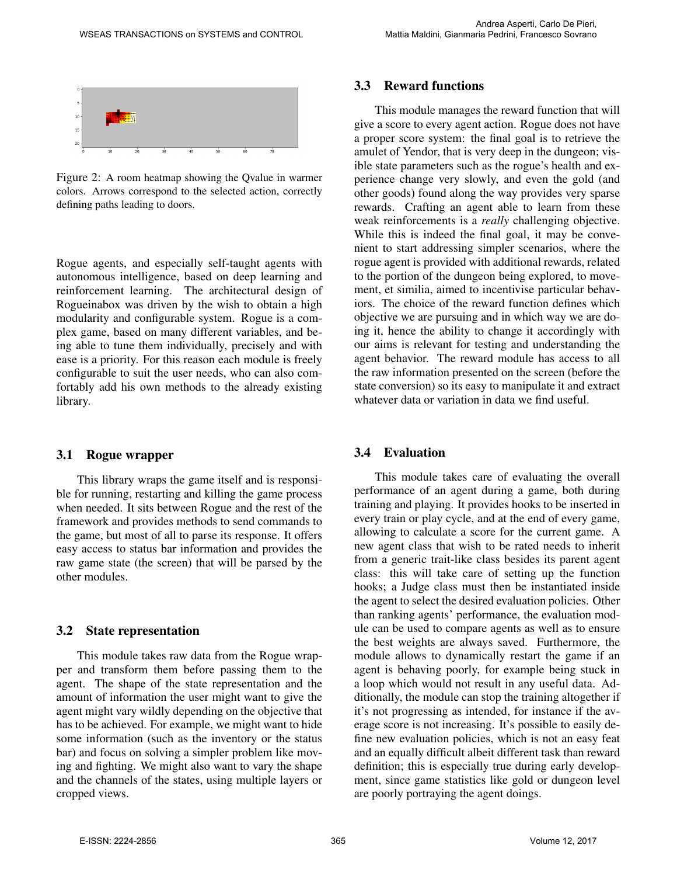

Figure 2: A room heatmap showing the Qvalue in warmer colors. Arrows correspond to the selected action, correctly defining paths leading to doors.

Rogue agents, and especially self-taught agents with autonomous intelligence, based on deep learning and reinforcement learning. The architectural design of Rogueinabox was driven by the wish to obtain a high modularity and configurable system. Rogue is a complex game, based on many different variables, and being able to tune them individually, precisely and with ease is a priority. For this reason each module is freely configurable to suit the user needs, who can also comfortably add his own methods to the already existing library.

#### 3.1 Rogue wrapper

This library wraps the game itself and is responsible for running, restarting and killing the game process when needed. It sits between Rogue and the rest of the framework and provides methods to send commands to the game, but most of all to parse its response. It offers easy access to status bar information and provides the raw game state (the screen) that will be parsed by the other modules.

#### 3.2 State representation

This module takes raw data from the Rogue wrapper and transform them before passing them to the agent. The shape of the state representation and the amount of information the user might want to give the agent might vary wildly depending on the objective that has to be achieved. For example, we might want to hide some information (such as the inventory or the status bar) and focus on solving a simpler problem like moving and fighting. We might also want to vary the shape and the channels of the states, using multiple layers or cropped views.

#### 3.3 Reward functions

This module manages the reward function that will give a score to every agent action. Rogue does not have a proper score system: the final goal is to retrieve the amulet of Yendor, that is very deep in the dungeon; visible state parameters such as the rogue's health and experience change very slowly, and even the gold (and other goods) found along the way provides very sparse rewards. Crafting an agent able to learn from these weak reinforcements is a *really* challenging objective. While this is indeed the final goal, it may be convenient to start addressing simpler scenarios, where the rogue agent is provided with additional rewards, related to the portion of the dungeon being explored, to movement, et similia, aimed to incentivise particular behaviors. The choice of the reward function defines which objective we are pursuing and in which way we are doing it, hence the ability to change it accordingly with our aims is relevant for testing and understanding the agent behavior. The reward module has access to all the raw information presented on the screen (before the state conversion) so its easy to manipulate it and extract whatever data or variation in data we find useful.

#### 3.4 Evaluation

This module takes care of evaluating the overall performance of an agent during a game, both during training and playing. It provides hooks to be inserted in every train or play cycle, and at the end of every game, allowing to calculate a score for the current game. A new agent class that wish to be rated needs to inherit from a generic trait-like class besides its parent agent class: this will take care of setting up the function hooks; a Judge class must then be instantiated inside the agent to select the desired evaluation policies. Other than ranking agents' performance, the evaluation module can be used to compare agents as well as to ensure the best weights are always saved. Furthermore, the module allows to dynamically restart the game if an agent is behaving poorly, for example being stuck in a loop which would not result in any useful data. Additionally, the module can stop the training altogether if it's not progressing as intended, for instance if the average score is not increasing. It's possible to easily define new evaluation policies, which is not an easy feat and an equally difficult albeit different task than reward definition; this is especially true during early development, since game statistics like gold or dungeon level are poorly portraying the agent doings.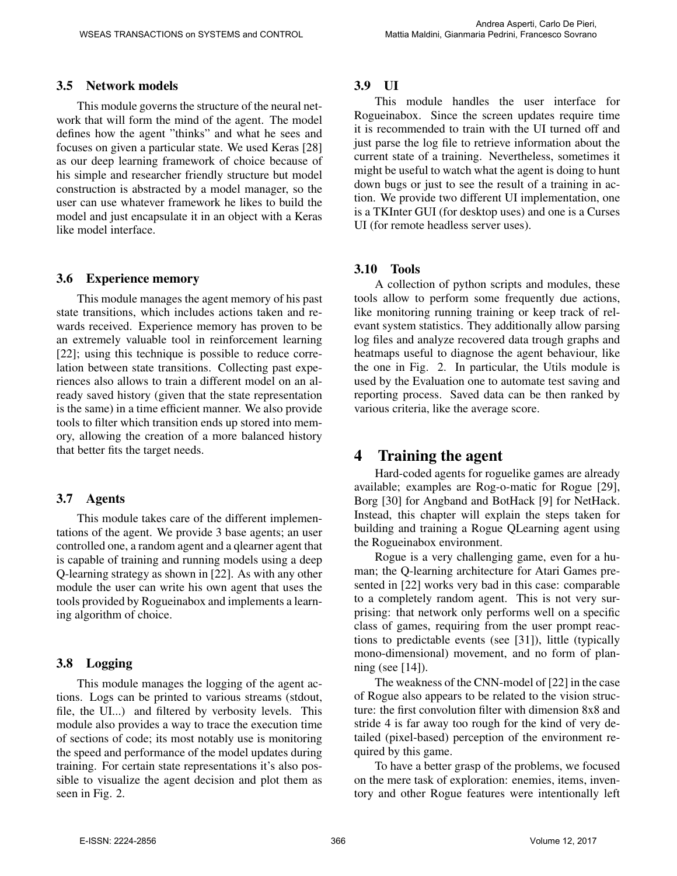### 3.5 Network models

This module governs the structure of the neural network that will form the mind of the agent. The model defines how the agent "thinks" and what he sees and focuses on given a particular state. We used Keras [28] as our deep learning framework of choice because of his simple and researcher friendly structure but model construction is abstracted by a model manager, so the user can use whatever framework he likes to build the model and just encapsulate it in an object with a Keras like model interface.

#### 3.6 Experience memory

This module manages the agent memory of his past state transitions, which includes actions taken and rewards received. Experience memory has proven to be an extremely valuable tool in reinforcement learning [22]; using this technique is possible to reduce correlation between state transitions. Collecting past experiences also allows to train a different model on an already saved history (given that the state representation is the same) in a time efficient manner. We also provide tools to filter which transition ends up stored into memory, allowing the creation of a more balanced history that better fits the target needs.

### 3.7 Agents

This module takes care of the different implementations of the agent. We provide 3 base agents; an user controlled one, a random agent and a qlearner agent that is capable of training and running models using a deep Q-learning strategy as shown in [22]. As with any other module the user can write his own agent that uses the tools provided by Rogueinabox and implements a learning algorithm of choice.

### 3.8 Logging

This module manages the logging of the agent actions. Logs can be printed to various streams (stdout, file, the UI...) and filtered by verbosity levels. This module also provides a way to trace the execution time of sections of code; its most notably use is monitoring the speed and performance of the model updates during training. For certain state representations it's also possible to visualize the agent decision and plot them as seen in Fig. 2.

### 3.9 UI

This module handles the user interface for Rogueinabox. Since the screen updates require time it is recommended to train with the UI turned off and just parse the log file to retrieve information about the current state of a training. Nevertheless, sometimes it might be useful to watch what the agent is doing to hunt down bugs or just to see the result of a training in action. We provide two different UI implementation, one is a TKInter GUI (for desktop uses) and one is a Curses UI (for remote headless server uses).

### 3.10 Tools

A collection of python scripts and modules, these tools allow to perform some frequently due actions, like monitoring running training or keep track of relevant system statistics. They additionally allow parsing log files and analyze recovered data trough graphs and heatmaps useful to diagnose the agent behaviour, like the one in Fig. 2. In particular, the Utils module is used by the Evaluation one to automate test saving and reporting process. Saved data can be then ranked by various criteria, like the average score.

# 4 Training the agent

Hard-coded agents for roguelike games are already available; examples are Rog-o-matic for Rogue [29], Borg [30] for Angband and BotHack [9] for NetHack. Instead, this chapter will explain the steps taken for building and training a Rogue QLearning agent using the Rogueinabox environment.

Rogue is a very challenging game, even for a human; the Q-learning architecture for Atari Games presented in [22] works very bad in this case: comparable to a completely random agent. This is not very surprising: that network only performs well on a specific class of games, requiring from the user prompt reactions to predictable events (see [31]), little (typically mono-dimensional) movement, and no form of planning (see [14]).

The weakness of the CNN-model of [22] in the case of Rogue also appears to be related to the vision structure: the first convolution filter with dimension 8x8 and stride 4 is far away too rough for the kind of very detailed (pixel-based) perception of the environment required by this game.

To have a better grasp of the problems, we focused on the mere task of exploration: enemies, items, inventory and other Rogue features were intentionally left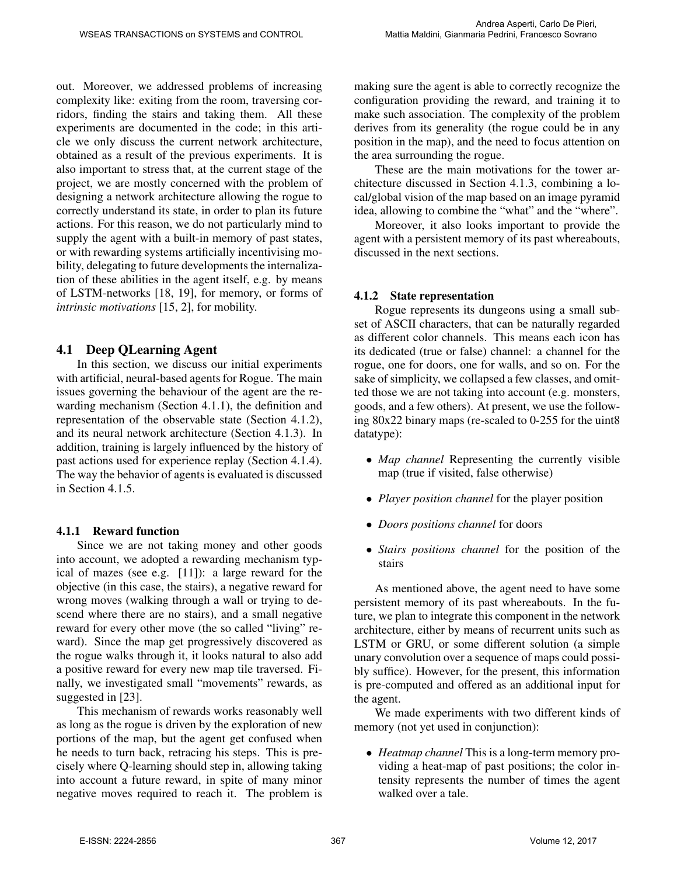out. Moreover, we addressed problems of increasing complexity like: exiting from the room, traversing corridors, finding the stairs and taking them. All these experiments are documented in the code; in this article we only discuss the current network architecture, obtained as a result of the previous experiments. It is also important to stress that, at the current stage of the project, we are mostly concerned with the problem of designing a network architecture allowing the rogue to correctly understand its state, in order to plan its future actions. For this reason, we do not particularly mind to supply the agent with a built-in memory of past states, or with rewarding systems artificially incentivising mobility, delegating to future developments the internalization of these abilities in the agent itself, e.g. by means of LSTM-networks [18, 19], for memory, or forms of *intrinsic motivations* [15, 2], for mobility.

### 4.1 Deep QLearning Agent

In this section, we discuss our initial experiments with artificial, neural-based agents for Rogue. The main issues governing the behaviour of the agent are the rewarding mechanism (Section 4.1.1), the definition and representation of the observable state (Section 4.1.2), and its neural network architecture (Section 4.1.3). In addition, training is largely influenced by the history of past actions used for experience replay (Section 4.1.4). The way the behavior of agents is evaluated is discussed in Section 4.1.5.

### 4.1.1 Reward function

Since we are not taking money and other goods into account, we adopted a rewarding mechanism typical of mazes (see e.g. [11]): a large reward for the objective (in this case, the stairs), a negative reward for wrong moves (walking through a wall or trying to descend where there are no stairs), and a small negative reward for every other move (the so called "living" reward). Since the map get progressively discovered as the rogue walks through it, it looks natural to also add a positive reward for every new map tile traversed. Finally, we investigated small "movements" rewards, as suggested in [23].

This mechanism of rewards works reasonably well as long as the rogue is driven by the exploration of new portions of the map, but the agent get confused when he needs to turn back, retracing his steps. This is precisely where Q-learning should step in, allowing taking into account a future reward, in spite of many minor negative moves required to reach it. The problem is making sure the agent is able to correctly recognize the configuration providing the reward, and training it to make such association. The complexity of the problem derives from its generality (the rogue could be in any position in the map), and the need to focus attention on the area surrounding the rogue.

These are the main motivations for the tower architecture discussed in Section 4.1.3, combining a local/global vision of the map based on an image pyramid idea, allowing to combine the "what" and the "where".

Moreover, it also looks important to provide the agent with a persistent memory of its past whereabouts, discussed in the next sections.

### 4.1.2 State representation

Rogue represents its dungeons using a small subset of ASCII characters, that can be naturally regarded as different color channels. This means each icon has its dedicated (true or false) channel: a channel for the rogue, one for doors, one for walls, and so on. For the sake of simplicity, we collapsed a few classes, and omitted those we are not taking into account (e.g. monsters, goods, and a few others). At present, we use the following 80x22 binary maps (re-scaled to 0-255 for the uint8 datatype):

- *Map channel* Representing the currently visible map (true if visited, false otherwise)
- *Player position channel* for the player position
- *Doors positions channel* for doors
- *Stairs positions channel* for the position of the stairs

As mentioned above, the agent need to have some persistent memory of its past whereabouts. In the future, we plan to integrate this component in the network architecture, either by means of recurrent units such as LSTM or GRU, or some different solution (a simple unary convolution over a sequence of maps could possibly suffice). However, for the present, this information is pre-computed and offered as an additional input for the agent.

We made experiments with two different kinds of memory (not yet used in conjunction):

• *Heatmap channel* This is a long-term memory providing a heat-map of past positions; the color intensity represents the number of times the agent walked over a tale.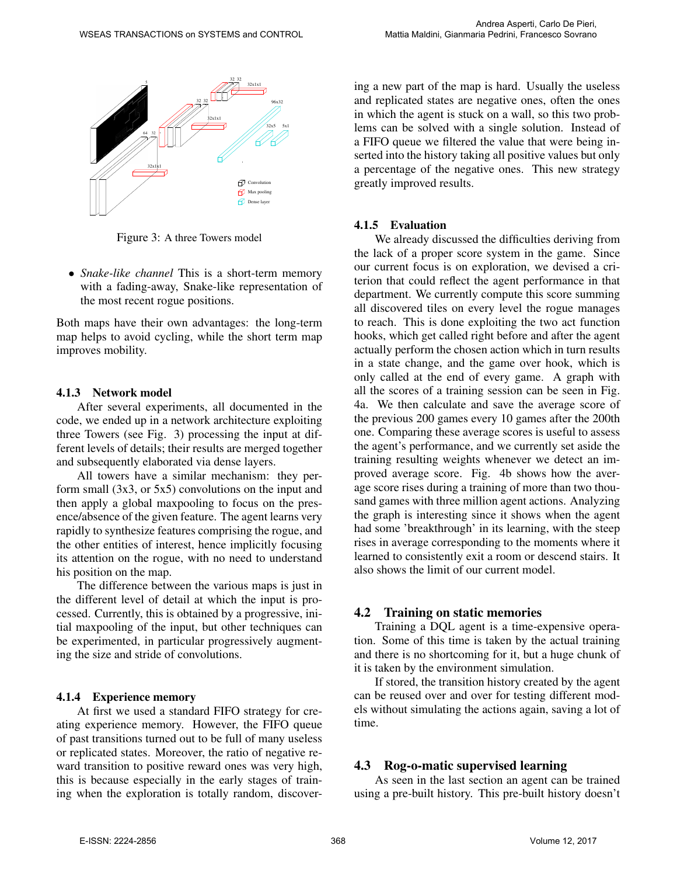

Figure 3: A three Towers model

• *Snake-like channel* This is a short-term memory with a fading-away, Snake-like representation of the most recent rogue positions.

Both maps have their own advantages: the long-term map helps to avoid cycling, while the short term map improves mobility.

#### 4.1.3 Network model

After several experiments, all documented in the code, we ended up in a network architecture exploiting three Towers (see Fig. 3) processing the input at different levels of details; their results are merged together and subsequently elaborated via dense layers.

All towers have a similar mechanism: they perform small  $(3x3, or 5x5)$  convolutions on the input and then apply a global maxpooling to focus on the presence/absence of the given feature. The agent learns very rapidly to synthesize features comprising the rogue, and the other entities of interest, hence implicitly focusing its attention on the rogue, with no need to understand his position on the map.

The difference between the various maps is just in the different level of detail at which the input is processed. Currently, this is obtained by a progressive, initial maxpooling of the input, but other techniques can be experimented, in particular progressively augmenting the size and stride of convolutions.

#### 4.1.4 Experience memory

At first we used a standard FIFO strategy for creating experience memory. However, the FIFO queue of past transitions turned out to be full of many useless or replicated states. Moreover, the ratio of negative reward transition to positive reward ones was very high, this is because especially in the early stages of training when the exploration is totally random, discovering a new part of the map is hard. Usually the useless and replicated states are negative ones, often the ones in which the agent is stuck on a wall, so this two problems can be solved with a single solution. Instead of a FIFO queue we filtered the value that were being inserted into the history taking all positive values but only a percentage of the negative ones. This new strategy greatly improved results.

#### 4.1.5 Evaluation

We already discussed the difficulties deriving from the lack of a proper score system in the game. Since our current focus is on exploration, we devised a criterion that could reflect the agent performance in that department. We currently compute this score summing all discovered tiles on every level the rogue manages to reach. This is done exploiting the two act function hooks, which get called right before and after the agent actually perform the chosen action which in turn results in a state change, and the game over hook, which is only called at the end of every game. A graph with all the scores of a training session can be seen in Fig. 4a. We then calculate and save the average score of the previous 200 games every 10 games after the 200th one. Comparing these average scores is useful to assess the agent's performance, and we currently set aside the training resulting weights whenever we detect an improved average score. Fig. 4b shows how the average score rises during a training of more than two thousand games with three million agent actions. Analyzing the graph is interesting since it shows when the agent had some 'breakthrough' in its learning, with the steep rises in average corresponding to the moments where it learned to consistently exit a room or descend stairs. It also shows the limit of our current model.

#### 4.2 Training on static memories

Training a DQL agent is a time-expensive operation. Some of this time is taken by the actual training and there is no shortcoming for it, but a huge chunk of it is taken by the environment simulation.

If stored, the transition history created by the agent can be reused over and over for testing different models without simulating the actions again, saving a lot of time.

#### 4.3 Rog-o-matic supervised learning

As seen in the last section an agent can be trained using a pre-built history. This pre-built history doesn't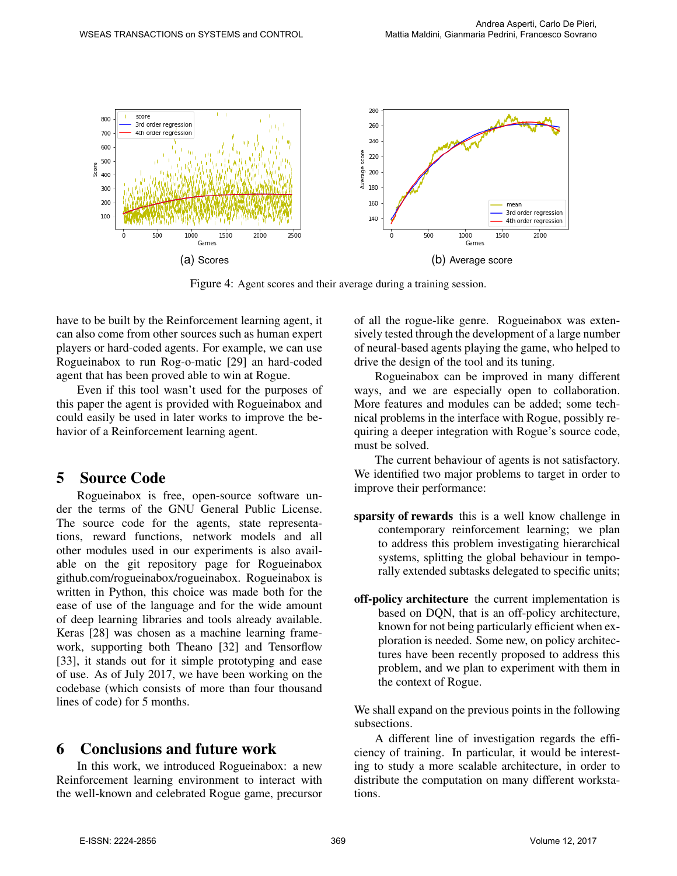

Figure 4: Agent scores and their average during a training session.

have to be built by the Reinforcement learning agent, it can also come from other sources such as human expert players or hard-coded agents. For example, we can use Rogueinabox to run Rog-o-matic [29] an hard-coded agent that has been proved able to win at Rogue.

Even if this tool wasn't used for the purposes of this paper the agent is provided with Rogueinabox and could easily be used in later works to improve the behavior of a Reinforcement learning agent.

## 5 Source Code

Rogueinabox is free, open-source software under the terms of the GNU General Public License. The source code for the agents, state representations, reward functions, network models and all other modules used in our experiments is also available on the git repository page for Rogueinabox github.com/rogueinabox/rogueinabox. Rogueinabox is written in Python, this choice was made both for the ease of use of the language and for the wide amount of deep learning libraries and tools already available. Keras [28] was chosen as a machine learning framework, supporting both Theano [32] and Tensorflow [33], it stands out for it simple prototyping and ease of use. As of July 2017, we have been working on the codebase (which consists of more than four thousand lines of code) for 5 months.

# 6 Conclusions and future work

In this work, we introduced Rogueinabox: a new Reinforcement learning environment to interact with the well-known and celebrated Rogue game, precursor of all the rogue-like genre. Rogueinabox was extensively tested through the development of a large number of neural-based agents playing the game, who helped to drive the design of the tool and its tuning.

Rogueinabox can be improved in many different ways, and we are especially open to collaboration. More features and modules can be added; some technical problems in the interface with Rogue, possibly requiring a deeper integration with Rogue's source code, must be solved.

The current behaviour of agents is not satisfactory. We identified two major problems to target in order to improve their performance:

- sparsity of rewards this is a well know challenge in contemporary reinforcement learning; we plan to address this problem investigating hierarchical systems, splitting the global behaviour in temporally extended subtasks delegated to specific units;
- off-policy architecture the current implementation is based on DQN, that is an off-policy architecture, known for not being particularly efficient when exploration is needed. Some new, on policy architectures have been recently proposed to address this problem, and we plan to experiment with them in the context of Rogue.

We shall expand on the previous points in the following subsections.

A different line of investigation regards the efficiency of training. In particular, it would be interesting to study a more scalable architecture, in order to distribute the computation on many different workstations.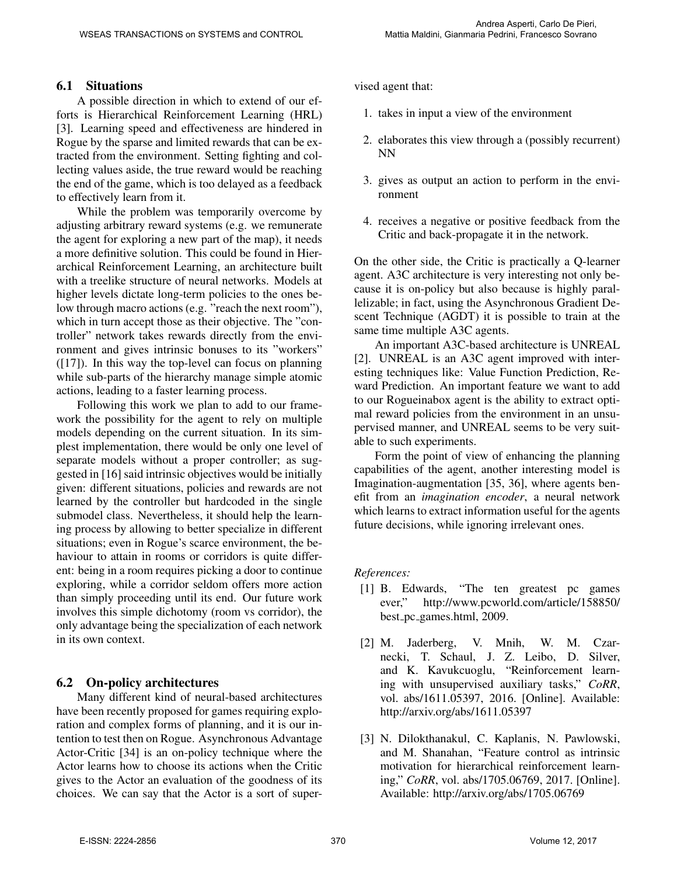### 6.1 Situations

A possible direction in which to extend of our efforts is Hierarchical Reinforcement Learning (HRL) [3]. Learning speed and effectiveness are hindered in Rogue by the sparse and limited rewards that can be extracted from the environment. Setting fighting and collecting values aside, the true reward would be reaching the end of the game, which is too delayed as a feedback to effectively learn from it.

While the problem was temporarily overcome by adjusting arbitrary reward systems (e.g. we remunerate the agent for exploring a new part of the map), it needs a more definitive solution. This could be found in Hierarchical Reinforcement Learning, an architecture built with a treelike structure of neural networks. Models at higher levels dictate long-term policies to the ones below through macro actions (e.g. "reach the next room"), which in turn accept those as their objective. The "controller" network takes rewards directly from the environment and gives intrinsic bonuses to its "workers" ([17]). In this way the top-level can focus on planning while sub-parts of the hierarchy manage simple atomic actions, leading to a faster learning process.

Following this work we plan to add to our framework the possibility for the agent to rely on multiple models depending on the current situation. In its simplest implementation, there would be only one level of separate models without a proper controller; as suggested in [16] said intrinsic objectives would be initially given: different situations, policies and rewards are not learned by the controller but hardcoded in the single submodel class. Nevertheless, it should help the learning process by allowing to better specialize in different situations; even in Rogue's scarce environment, the behaviour to attain in rooms or corridors is quite different: being in a room requires picking a door to continue exploring, while a corridor seldom offers more action than simply proceeding until its end. Our future work involves this simple dichotomy (room vs corridor), the only advantage being the specialization of each network in its own context.

### 6.2 On-policy architectures

Many different kind of neural-based architectures have been recently proposed for games requiring exploration and complex forms of planning, and it is our intention to test then on Rogue. Asynchronous Advantage Actor-Critic [34] is an on-policy technique where the Actor learns how to choose its actions when the Critic gives to the Actor an evaluation of the goodness of its choices. We can say that the Actor is a sort of supervised agent that:

- 1. takes in input a view of the environment
- 2. elaborates this view through a (possibly recurrent) NN
- 3. gives as output an action to perform in the environment
- 4. receives a negative or positive feedback from the Critic and back-propagate it in the network.

On the other side, the Critic is practically a Q-learner agent. A3C architecture is very interesting not only because it is on-policy but also because is highly parallelizable; in fact, using the Asynchronous Gradient Descent Technique (AGDT) it is possible to train at the same time multiple A3C agents.

An important A3C-based architecture is UNREAL [2]. UNREAL is an A3C agent improved with interesting techniques like: Value Function Prediction, Reward Prediction. An important feature we want to add to our Rogueinabox agent is the ability to extract optimal reward policies from the environment in an unsupervised manner, and UNREAL seems to be very suitable to such experiments.

Form the point of view of enhancing the planning capabilities of the agent, another interesting model is Imagination-augmentation [35, 36], where agents benefit from an *imagination encoder*, a neural network which learns to extract information useful for the agents future decisions, while ignoring irrelevant ones.

### *References:*

- [1] B. Edwards, "The ten greatest pc games ever," http://www.pcworld.com/article/158850/ best pc games.html, 2009.
- [2] M. Jaderberg, V. Mnih, W. M. Czarnecki, T. Schaul, J. Z. Leibo, D. Silver, and K. Kavukcuoglu, "Reinforcement learning with unsupervised auxiliary tasks," *CoRR*, vol. abs/1611.05397, 2016. [Online]. Available: http://arxiv.org/abs/1611.05397
- [3] N. Dilokthanakul, C. Kaplanis, N. Pawlowski, and M. Shanahan, "Feature control as intrinsic motivation for hierarchical reinforcement learning," *CoRR*, vol. abs/1705.06769, 2017. [Online]. Available: http://arxiv.org/abs/1705.06769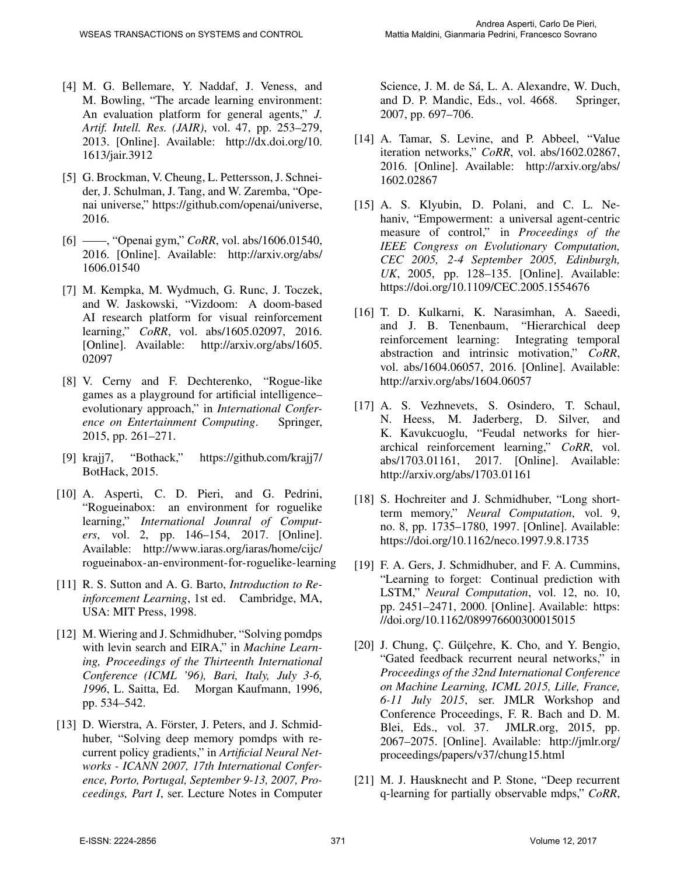- [4] M. G. Bellemare, Y. Naddaf, J. Veness, and M. Bowling, "The arcade learning environment: An evaluation platform for general agents," *J. Artif. Intell. Res. (JAIR)*, vol. 47, pp. 253–279, 2013. [Online]. Available: http://dx.doi.org/10. 1613/jair.3912
- [5] G. Brockman, V. Cheung, L. Pettersson, J. Schneider, J. Schulman, J. Tang, and W. Zaremba, "Openai universe," https://github.com/openai/universe, 2016.
- [6] ——, "Openai gym," *CoRR*, vol. abs/1606.01540, 2016. [Online]. Available: http://arxiv.org/abs/ 1606.01540
- [7] M. Kempka, M. Wydmuch, G. Runc, J. Toczek, and W. Jaskowski, "Vizdoom: A doom-based AI research platform for visual reinforcement learning," *CoRR*, vol. abs/1605.02097, 2016. [Online]. Available: http://arxiv.org/abs/1605. 02097
- [8] V. Cerny and F. Dechterenko, "Rogue-like games as a playground for artificial intelligence– evolutionary approach," in *International Conference on Entertainment Computing*. Springer, 2015, pp. 261–271.
- [9] krajj7, "Bothack," https://github.com/krajj7/ BotHack, 2015.
- [10] A. Asperti, C. D. Pieri, and G. Pedrini, "Rogueinabox: an environment for roguelike learning," *International Jounral of Computers*, vol. 2, pp. 146–154, 2017. [Online]. Available: http://www.iaras.org/iaras/home/cijc/ rogueinabox-an-environment-for-roguelike-learning
- [11] R. S. Sutton and A. G. Barto, *Introduction to Reinforcement Learning*, 1st ed. Cambridge, MA, USA: MIT Press, 1998.
- [12] M. Wiering and J. Schmidhuber, "Solving pomdps" with levin search and EIRA," in *Machine Learning, Proceedings of the Thirteenth International Conference (ICML '96), Bari, Italy, July 3-6, 1996*, L. Saitta, Ed. Morgan Kaufmann, 1996, pp. 534–542.
- [13] D. Wierstra, A. Förster, J. Peters, and J. Schmidhuber, "Solving deep memory pomdps with recurrent policy gradients," in *Artificial Neural Networks - ICANN 2007, 17th International Conference, Porto, Portugal, September 9-13, 2007, Proceedings, Part I*, ser. Lecture Notes in Computer

Science, J. M. de Sá, L. A. Alexandre, W. Duch, and D. P. Mandic, Eds., vol. 4668. Springer, 2007, pp. 697–706.

- [14] A. Tamar, S. Levine, and P. Abbeel, "Value iteration networks," *CoRR*, vol. abs/1602.02867, 2016. [Online]. Available: http://arxiv.org/abs/ 1602.02867
- [15] A. S. Klyubin, D. Polani, and C. L. Nehaniv, "Empowerment: a universal agent-centric measure of control," in *Proceedings of the IEEE Congress on Evolutionary Computation, CEC 2005, 2-4 September 2005, Edinburgh, UK*, 2005, pp. 128–135. [Online]. Available: https://doi.org/10.1109/CEC.2005.1554676
- [16] T. D. Kulkarni, K. Narasimhan, A. Saeedi, and J. B. Tenenbaum, "Hierarchical deep reinforcement learning: Integrating temporal abstraction and intrinsic motivation," *CoRR*, vol. abs/1604.06057, 2016. [Online]. Available: http://arxiv.org/abs/1604.06057
- [17] A. S. Vezhnevets, S. Osindero, T. Schaul, N. Heess, M. Jaderberg, D. Silver, and K. Kavukcuoglu, "Feudal networks for hierarchical reinforcement learning," *CoRR*, vol. abs/1703.01161, 2017. [Online]. Available: http://arxiv.org/abs/1703.01161
- [18] S. Hochreiter and J. Schmidhuber, "Long shortterm memory," *Neural Computation*, vol. 9, no. 8, pp. 1735–1780, 1997. [Online]. Available: https://doi.org/10.1162/neco.1997.9.8.1735
- [19] F. A. Gers, J. Schmidhuber, and F. A. Cummins, "Learning to forget: Continual prediction with LSTM," *Neural Computation*, vol. 12, no. 10, pp. 2451–2471, 2000. [Online]. Available: https: //doi.org/10.1162/089976600300015015
- [20] J. Chung, C. Gülçehre, K. Cho, and Y. Bengio, "Gated feedback recurrent neural networks," in *Proceedings of the 32nd International Conference on Machine Learning, ICML 2015, Lille, France, 6-11 July 2015*, ser. JMLR Workshop and Conference Proceedings, F. R. Bach and D. M. Blei, Eds., vol. 37. JMLR.org, 2015, pp. 2067–2075. [Online]. Available: http://jmlr.org/ proceedings/papers/v37/chung15.html
- [21] M. J. Hausknecht and P. Stone, "Deep recurrent q-learning for partially observable mdps," *CoRR*,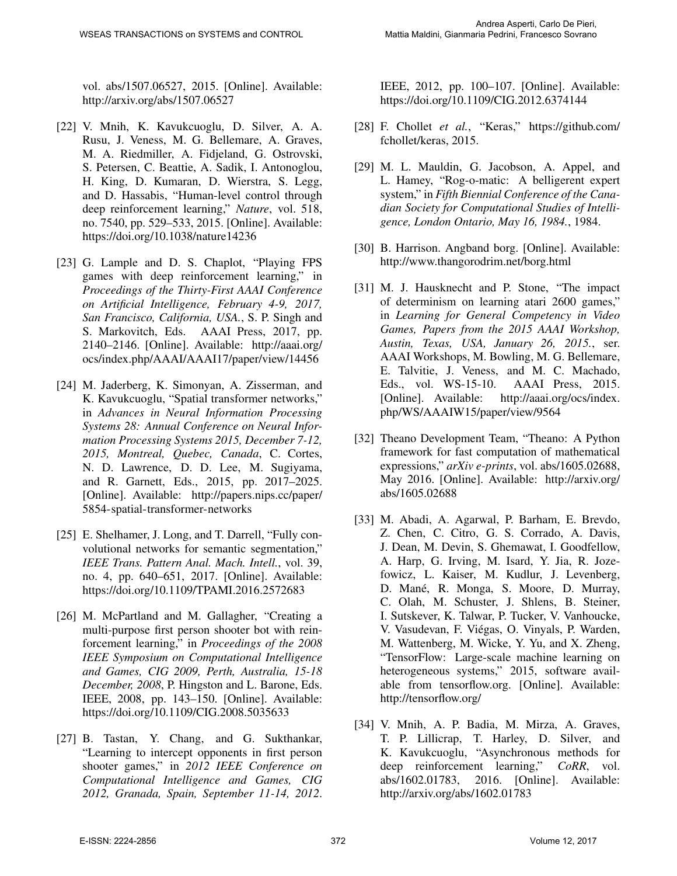vol. abs/1507.06527, 2015. [Online]. Available: http://arxiv.org/abs/1507.06527

- [22] V. Mnih, K. Kavukcuoglu, D. Silver, A. A. Rusu, J. Veness, M. G. Bellemare, A. Graves, M. A. Riedmiller, A. Fidjeland, G. Ostrovski, S. Petersen, C. Beattie, A. Sadik, I. Antonoglou, H. King, D. Kumaran, D. Wierstra, S. Legg, and D. Hassabis, "Human-level control through deep reinforcement learning," *Nature*, vol. 518, no. 7540, pp. 529–533, 2015. [Online]. Available: https://doi.org/10.1038/nature14236
- [23] G. Lample and D. S. Chaplot, "Playing FPS games with deep reinforcement learning," in *Proceedings of the Thirty-First AAAI Conference on Artificial Intelligence, February 4-9, 2017, San Francisco, California, USA.*, S. P. Singh and S. Markovitch, Eds. AAAI Press, 2017, pp. 2140–2146. [Online]. Available: http://aaai.org/ ocs/index.php/AAAI/AAAI17/paper/view/14456
- [24] M. Jaderberg, K. Simonyan, A. Zisserman, and K. Kavukcuoglu, "Spatial transformer networks," in *Advances in Neural Information Processing Systems 28: Annual Conference on Neural Information Processing Systems 2015, December 7-12, 2015, Montreal, Quebec, Canada*, C. Cortes, N. D. Lawrence, D. D. Lee, M. Sugiyama, and R. Garnett, Eds., 2015, pp. 2017–2025. [Online]. Available: http://papers.nips.cc/paper/ 5854-spatial-transformer-networks
- [25] E. Shelhamer, J. Long, and T. Darrell, "Fully convolutional networks for semantic segmentation," *IEEE Trans. Pattern Anal. Mach. Intell.*, vol. 39, no. 4, pp. 640–651, 2017. [Online]. Available: https://doi.org/10.1109/TPAMI.2016.2572683
- [26] M. McPartland and M. Gallagher, "Creating a multi-purpose first person shooter bot with reinforcement learning," in *Proceedings of the 2008 IEEE Symposium on Computational Intelligence and Games, CIG 2009, Perth, Australia, 15-18 December, 2008*, P. Hingston and L. Barone, Eds. IEEE, 2008, pp. 143–150. [Online]. Available: https://doi.org/10.1109/CIG.2008.5035633
- [27] B. Tastan, Y. Chang, and G. Sukthankar, "Learning to intercept opponents in first person shooter games," in *2012 IEEE Conference on Computational Intelligence and Games, CIG 2012, Granada, Spain, September 11-14, 2012*.

IEEE, 2012, pp. 100–107. [Online]. Available: https://doi.org/10.1109/CIG.2012.6374144

- [28] F. Chollet *et al.*, "Keras," https://github.com/ fchollet/keras, 2015.
- [29] M. L. Mauldin, G. Jacobson, A. Appel, and L. Hamey, "Rog-o-matic: A belligerent expert system," in *Fifth Biennial Conference of the Canadian Society for Computational Studies of Intelligence, London Ontario, May 16, 1984.*, 1984.
- [30] B. Harrison. Angband borg. [Online]. Available: http://www.thangorodrim.net/borg.html
- [31] M. J. Hausknecht and P. Stone, "The impact of determinism on learning atari 2600 games," in *Learning for General Competency in Video Games, Papers from the 2015 AAAI Workshop, Austin, Texas, USA, January 26, 2015.*, ser. AAAI Workshops, M. Bowling, M. G. Bellemare, E. Talvitie, J. Veness, and M. C. Machado, Eds., vol. WS-15-10. AAAI Press, 2015. Eds., vol.  $WS-15-10$ . [Online]. Available: http://aaai.org/ocs/index. php/WS/AAAIW15/paper/view/9564
- [32] Theano Development Team, "Theano: A Python framework for fast computation of mathematical expressions," *arXiv e-prints*, vol. abs/1605.02688, May 2016. [Online]. Available: http://arxiv.org/ abs/1605.02688
- [33] M. Abadi, A. Agarwal, P. Barham, E. Brevdo, Z. Chen, C. Citro, G. S. Corrado, A. Davis, J. Dean, M. Devin, S. Ghemawat, I. Goodfellow, A. Harp, G. Irving, M. Isard, Y. Jia, R. Jozefowicz, L. Kaiser, M. Kudlur, J. Levenberg, D. Mané, R. Monga, S. Moore, D. Murray, C. Olah, M. Schuster, J. Shlens, B. Steiner, I. Sutskever, K. Talwar, P. Tucker, V. Vanhoucke, V. Vasudevan, F. Viegas, O. Vinyals, P. Warden, ´ M. Wattenberg, M. Wicke, Y. Yu, and X. Zheng, "TensorFlow: Large-scale machine learning on heterogeneous systems," 2015, software available from tensorflow.org. [Online]. Available: http://tensorflow.org/
- [34] V. Mnih, A. P. Badia, M. Mirza, A. Graves, T. P. Lillicrap, T. Harley, D. Silver, and K. Kavukcuoglu, "Asynchronous methods for deep reinforcement learning," *CoRR*, vol. abs/1602.01783, 2016. [Online]. Available: http://arxiv.org/abs/1602.01783